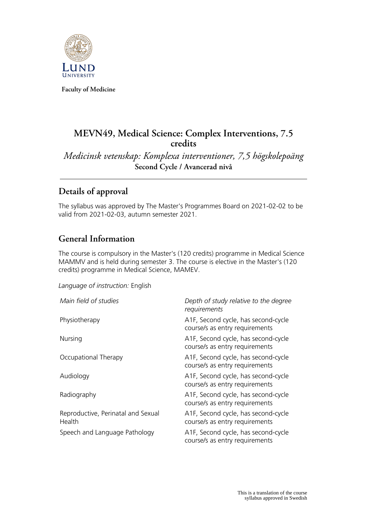

**Faculty of Medicine**

# **MEVN49, Medical Science: Complex Interventions, 7.5 credits**

*Medicinsk vetenskap: Komplexa interventioner, 7,5 högskolepoäng* **Second Cycle / Avancerad nivå**

# **Details of approval**

The syllabus was approved by The Master's Programmes Board on 2021-02-02 to be valid from 2021-02-03, autumn semester 2021.

# **General Information**

The course is compulsory in the Master's (120 credits) programme in Medical Science MAMMV and is held during semester 3. The course is elective in the Master's (120 credits) programme in Medical Science, MAMEV.

*Language of instruction:* English

| Main field of studies                        | Depth of study relative to the degree<br>requirements                 |
|----------------------------------------------|-----------------------------------------------------------------------|
| Physiotherapy                                | A1F, Second cycle, has second-cycle<br>course/s as entry requirements |
| Nursing                                      | A1F, Second cycle, has second-cycle<br>course/s as entry requirements |
| Occupational Therapy                         | A1F, Second cycle, has second-cycle<br>course/s as entry requirements |
| Audiology                                    | A1F, Second cycle, has second-cycle<br>course/s as entry requirements |
| Radiography                                  | A1F, Second cycle, has second-cycle<br>course/s as entry requirements |
| Reproductive, Perinatal and Sexual<br>Health | A1F, Second cycle, has second-cycle<br>course/s as entry requirements |
| Speech and Language Pathology                | A1F, Second cycle, has second-cycle<br>course/s as entry requirements |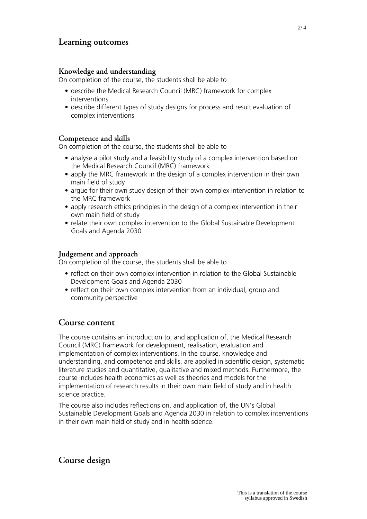## **Learning outcomes**

#### **Knowledge and understanding**

On completion of the course, the students shall be able to

- describe the Medical Research Council (MRC) framework for complex interventions
- describe different types of study designs for process and result evaluation of complex interventions

#### **Competence and skills**

On completion of the course, the students shall be able to

- analyse a pilot study and a feasibility study of a complex intervention based on the Medical Research Council (MRC) framework
- apply the MRC framework in the design of a complex intervention in their own main field of study
- argue for their own study design of their own complex intervention in relation to the MRC framework
- apply research ethics principles in the design of a complex intervention in their own main field of study
- relate their own complex intervention to the Global Sustainable Development Goals and Agenda 2030

#### **Judgement and approach**

On completion of the course, the students shall be able to

- reflect on their own complex intervention in relation to the Global Sustainable Development Goals and Agenda 2030
- reflect on their own complex intervention from an individual, group and community perspective

### **Course content**

The course contains an introduction to, and application of, the Medical Research Council (MRC) framework for development, realisation, evaluation and implementation of complex interventions. In the course, knowledge and understanding, and competence and skills, are applied in scientific design, systematic literature studies and quantitative, qualitative and mixed methods. Furthermore, the course includes health economics as well as theories and models for the implementation of research results in their own main field of study and in health science practice.

The course also includes reflections on, and application of, the UN's Global Sustainable Development Goals and Agenda 2030 in relation to complex interventions in their own main field of study and in health science.

### **Course design**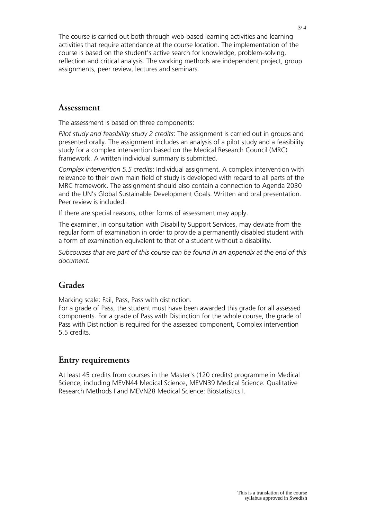The course is carried out both through web-based learning activities and learning activities that require attendance at the course location. The implementation of the course is based on the student's active search for knowledge, problem-solving, reflection and critical analysis. The working methods are independent project, group assignments, peer review, lectures and seminars.

### **Assessment**

The assessment is based on three components:

*Pilot study and feasibility study 2 credits*: The assignment is carried out in groups and presented orally. The assignment includes an analysis of a pilot study and a feasibility study for a complex intervention based on the Medical Research Council (MRC) framework. A written individual summary is submitted.

*Complex intervention 5.5 credits*: Individual assignment. A complex intervention with relevance to their own main field of study is developed with regard to all parts of the MRC framework. The assignment should also contain a connection to Agenda 2030 and the UN's Global Sustainable Development Goals. Written and oral presentation. Peer review is included.

If there are special reasons, other forms of assessment may apply.

The examiner, in consultation with Disability Support Services, may deviate from the regular form of examination in order to provide a permanently disabled student with a form of examination equivalent to that of a student without a disability.

*Subcourses that are part of this course can be found in an appendix at the end of this document.*

## **Grades**

Marking scale: Fail, Pass, Pass with distinction.

For a grade of Pass, the student must have been awarded this grade for all assessed components. For a grade of Pass with Distinction for the whole course, the grade of Pass with Distinction is required for the assessed component, Complex intervention 5.5 credits.

## **Entry requirements**

At least 45 credits from courses in the Master's (120 credits) programme in Medical Science, including MEVN44 Medical Science, MEVN39 Medical Science: Qualitative Research Methods I and MEVN28 Medical Science: Biostatistics I.